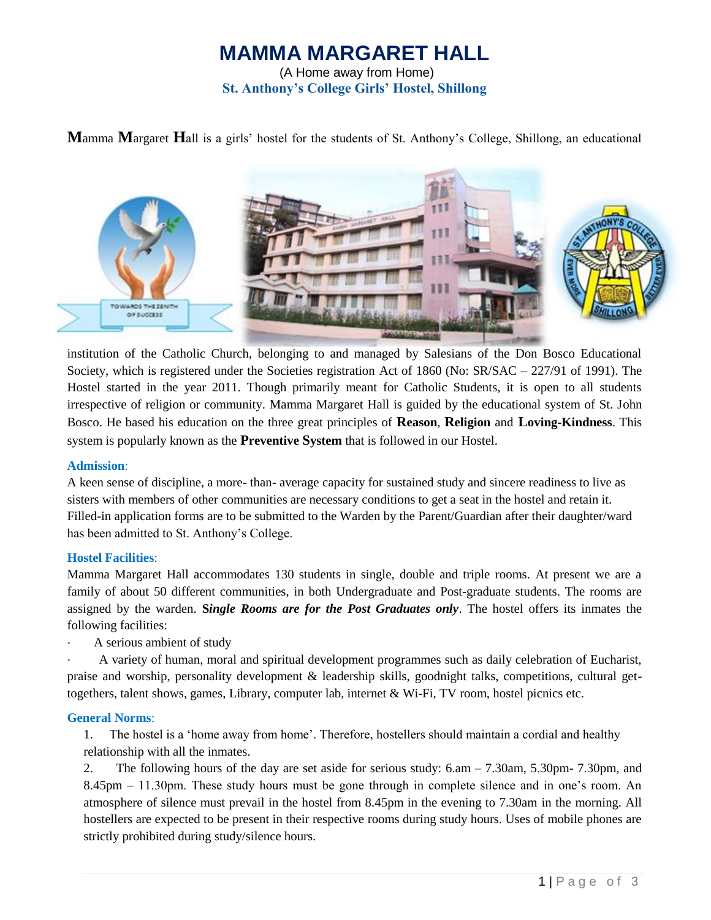# **MAMMA MARGARET HALL**

(A Home away from Home) **St. Anthony's College Girls' Hostel, Shillong**

**M**amma **M**argaret **H**all is a girls' hostel for the students of St. Anthony's College, Shillong, an educational



institution of the Catholic Church, belonging to and managed by Salesians of the Don Bosco Educational Society, which is registered under the Societies registration Act of 1860 (No: SR/SAC – 227/91 of 1991). The Hostel started in the year 2011. Though primarily meant for Catholic Students, it is open to all students irrespective of religion or community. Mamma Margaret Hall is guided by the educational system of St. John Bosco. He based his education on the three great principles of **Reason**, **Religion** and **Loving-Kindness**. This system is popularly known as the **Preventive System** that is followed in our Hostel.

#### **Admission**:

A keen sense of discipline, a more- than- average capacity for sustained study and sincere readiness to live as sisters with members of other communities are necessary conditions to get a seat in the hostel and retain it. Filled-in application forms are to be submitted to the Warden by the Parent/Guardian after their daughter/ward has been admitted to St. Anthony's College.

### **Hostel Facilities**:

Mamma Margaret Hall accommodates 130 students in single, double and triple rooms. At present we are a family of about 50 different communities, in both Undergraduate and Post-graduate students. The rooms are assigned by the warden. **S***ingle Rooms are for the Post Graduates only*. The hostel offers its inmates the following facilities:

A serious ambient of study

· A variety of human, moral and spiritual development programmes such as daily celebration of Eucharist, praise and worship, personality development & leadership skills, goodnight talks, competitions, cultural gettogethers, talent shows, games, Library, computer lab, internet & Wi-Fi, TV room, hostel picnics etc.

#### **General Norms**:

1. The hostel is a 'home away from home'. Therefore, hostellers should maintain a cordial and healthy relationship with all the inmates.

2. The following hours of the day are set aside for serious study: 6.am – 7.30am, 5.30pm- 7.30pm, and 8.45pm – 11.30pm. These study hours must be gone through in complete silence and in one's room. An atmosphere of silence must prevail in the hostel from 8.45pm in the evening to 7.30am in the morning. All hostellers are expected to be present in their respective rooms during study hours. Uses of mobile phones are strictly prohibited during study/silence hours.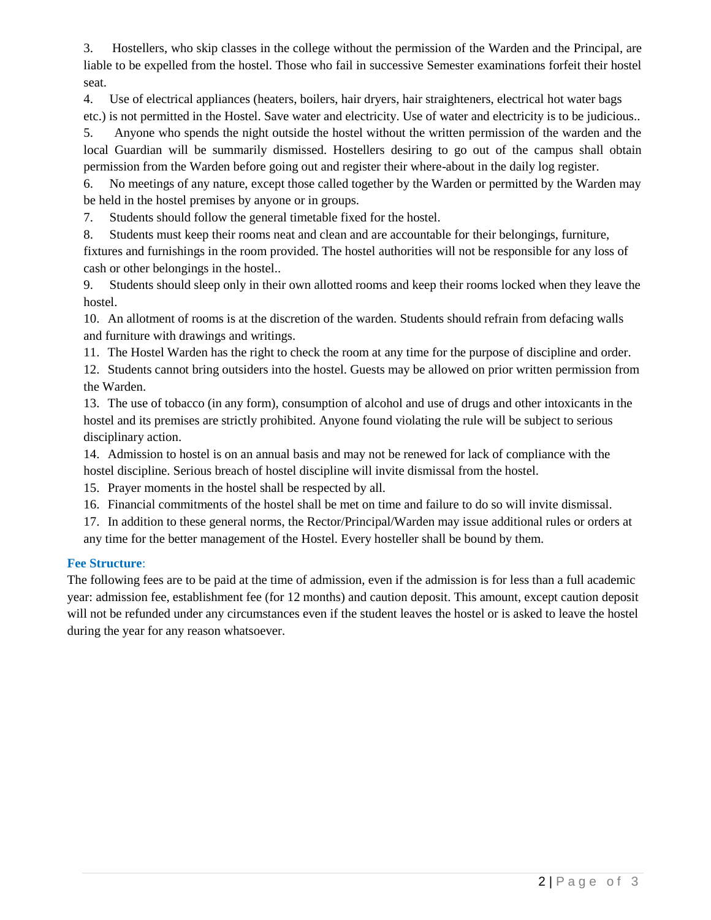3. Hostellers, who skip classes in the college without the permission of the Warden and the Principal, are liable to be expelled from the hostel. Those who fail in successive Semester examinations forfeit their hostel seat.

4. Use of electrical appliances (heaters, boilers, hair dryers, hair straighteners, electrical hot water bags etc.) is not permitted in the Hostel. Save water and electricity. Use of water and electricity is to be judicious..

5. Anyone who spends the night outside the hostel without the written permission of the warden and the local Guardian will be summarily dismissed. Hostellers desiring to go out of the campus shall obtain permission from the Warden before going out and register their where-about in the daily log register.

6. No meetings of any nature, except those called together by the Warden or permitted by the Warden may be held in the hostel premises by anyone or in groups.

7. Students should follow the general timetable fixed for the hostel.

8. Students must keep their rooms neat and clean and are accountable for their belongings, furniture, fixtures and furnishings in the room provided. The hostel authorities will not be responsible for any loss of cash or other belongings in the hostel..

9. Students should sleep only in their own allotted rooms and keep their rooms locked when they leave the hostel.

10. An allotment of rooms is at the discretion of the warden. Students should refrain from defacing walls and furniture with drawings and writings.

11. The Hostel Warden has the right to check the room at any time for the purpose of discipline and order.

12. Students cannot bring outsiders into the hostel. Guests may be allowed on prior written permission from the Warden.

13. The use of tobacco (in any form), consumption of alcohol and use of drugs and other intoxicants in the hostel and its premises are strictly prohibited. Anyone found violating the rule will be subject to serious disciplinary action.

14. Admission to hostel is on an annual basis and may not be renewed for lack of compliance with the hostel discipline. Serious breach of hostel discipline will invite dismissal from the hostel.

15. Prayer moments in the hostel shall be respected by all.

16. Financial commitments of the hostel shall be met on time and failure to do so will invite dismissal.

17. In addition to these general norms, the Rector/Principal/Warden may issue additional rules or orders at any time for the better management of the Hostel. Every hosteller shall be bound by them.

## **Fee Structure**:

The following fees are to be paid at the time of admission, even if the admission is for less than a full academic year: admission fee, establishment fee (for 12 months) and caution deposit. This amount, except caution deposit will not be refunded under any circumstances even if the student leaves the hostel or is asked to leave the hostel during the year for any reason whatsoever.